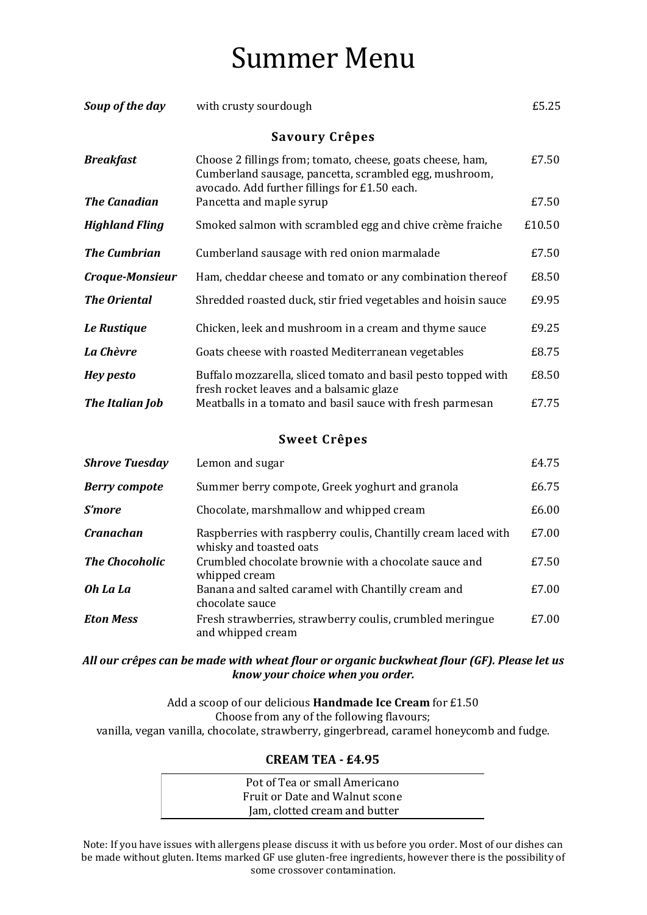## Summer Menu

| Soup of the day       | with crusty sourdough                                                                                                                                                 | £5.25  |  |
|-----------------------|-----------------------------------------------------------------------------------------------------------------------------------------------------------------------|--------|--|
| <b>Savoury Crêpes</b> |                                                                                                                                                                       |        |  |
| <b>Breakfast</b>      | Choose 2 fillings from; tomato, cheese, goats cheese, ham,<br>Cumberland sausage, pancetta, scrambled egg, mushroom,<br>avocado. Add further fillings for £1.50 each. | £7.50  |  |
| <b>The Canadian</b>   | Pancetta and maple syrup                                                                                                                                              | £7.50  |  |
| <b>Highland Fling</b> | Smoked salmon with scrambled egg and chive crème fraiche                                                                                                              | £10.50 |  |
| <b>The Cumbrian</b>   | Cumberland sausage with red onion marmalade                                                                                                                           | £7.50  |  |
| Croque-Monsieur       | Ham, cheddar cheese and tomato or any combination thereof                                                                                                             | £8.50  |  |
| <b>The Oriental</b>   | Shredded roasted duck, stir fried vegetables and hoisin sauce                                                                                                         | £9.95  |  |
| Le Rustique           | Chicken, leek and mushroom in a cream and thyme sauce                                                                                                                 | £9.25  |  |
| La Chèvre             | Goats cheese with roasted Mediterranean vegetables                                                                                                                    | £8.75  |  |
| <b>Hey pesto</b>      | Buffalo mozzarella, sliced tomato and basil pesto topped with<br>fresh rocket leaves and a balsamic glaze                                                             | £8.50  |  |
| The Italian Job       | Meatballs in a tomato and basil sauce with fresh parmesan                                                                                                             | £7.75  |  |
| <b>Sweet Crêpes</b>   |                                                                                                                                                                       |        |  |
| <b>Shrove Tuesday</b> | Lemon and sugar                                                                                                                                                       | £4.75  |  |
| <b>Berry compote</b>  | Summer berry compote, Greek yoghurt and granola                                                                                                                       | £6.75  |  |
| <b>S'more</b>         | Chocolate, marshmallow and whipped cream                                                                                                                              | £6.00  |  |
| <b>Cranachan</b>      | Raspberries with raspberry coulis, Chantilly cream laced with<br>whisky and toasted oats                                                                              | £7.00  |  |
| <b>The Chocoholic</b> | Crumbled chocolate brownie with a chocolate sauce and<br>whipped cream                                                                                                | £7.50  |  |
| Oh La La              | Banana and salted caramel with Chantilly cream and<br>chocolate sauce                                                                                                 | £7.00  |  |
| <b>Eton Mess</b>      | Fresh strawberries, strawberry coulis, crumbled meringue<br>and whipped cream                                                                                         | £7.00  |  |

## *All our crêpes can be made with wheat flour or organic buckwheat flour (GF). Please let us know your choice when you order.*

Add a scoop of our delicious **Handmade Ice Cream** for £1.50 Choose from any of the following flavours; vanilla, vegan vanilla, chocolate, strawberry, gingerbread, caramel honeycomb and fudge.

## **CREAM TEA - £4.95**

| Pot of Tea or small Americano  |  |
|--------------------------------|--|
| Fruit or Date and Walnut scone |  |
| Jam, clotted cream and butter  |  |

Note: If you have issues with allergens please discuss it with us before you order. Most of our dishes can be made without gluten. Items marked GF use gluten-free ingredients, however there is the possibility of some crossover contamination.